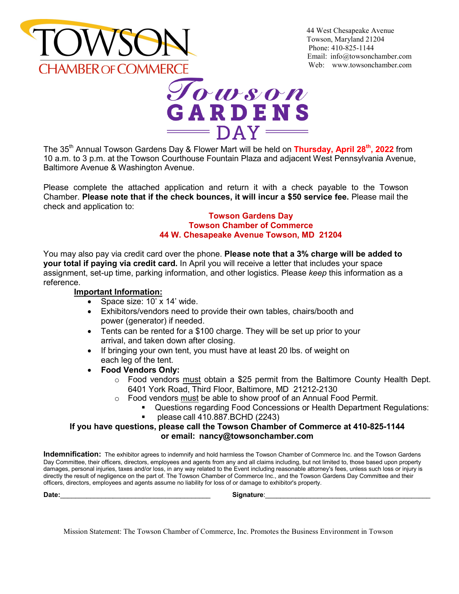

44 West Chesapeake Avenue Towson, Maryland 21204 Phone: 410-825-1144 Email: [info@towsonchamber.com](mailto:info@towsonchamber.com) Web: [www.towsonchamber.com](http://www.towsonchamber.com/)



The 35<sup>th</sup> Annual Towson Gardens Day & Flower Mart will be held on **Thursday, April 28<sup>th</sup>, 2022** from 10 a.m. to 3 p.m. at the Towson Courthouse Fountain Plaza and adjacent West Pennsylvania Avenue, Baltimore Avenue & Washington Avenue.

Please complete the attached application and return it with a check payable to the Towson Chamber. **Please note that if the check bounces, it will incur a \$50 service fee.** Please mail the check and application to:

## **Towson Gardens Day Towson Chamber of Commerce 44 W. Chesapeake Avenue Towson, MD 21204**

You may also pay via credit card over the phone. **Please note that a 3% charge will be added to your total if paying via credit card.** In April you will receive a letter that includes your space assignment, set-up time, parking information, and other logistics. Please *keep* this information as a reference.

## **Important Information:**

- Space size: 10' x 14' wide.
- Exhibitors/vendors need to provide their own tables, chairs/booth and power (generator) if needed.
- Tents can be rented for a \$100 charge. They will be set up prior to your arrival, and taken down after closing.
- If bringing your own tent, you must have at least 20 lbs. of weight on each leg of the tent.
- **Food Vendors Only:**
	- $\circ$  Food vendors must obtain a \$25 permit from the Baltimore County Health Dept. 6401 York Road, Third Floor, Baltimore, MD 21212-2130
	- $\circ$  Food vendors must be able to show proof of an Annual Food Permit.
		- Questions regarding Food Concessions or Health Department Regulations:<br>■ please call 410 887 BCHD (2243)
			- please call 410.887.BCHD (2243)

## **If you have questions, please call the Towson Chamber of Commerce at 410-825-1144 or email: [nancy@towsonchamber.com](mailto:info@towsonchamber.com)**

**Indemnification:** The exhibitor agrees to indemnify and hold harmless the Towson Chamber of Commerce Inc. and the Towson Gardens Day Committee, their officers, directors, employees and agents from any and all claims including, but not limited to, those based upon property damages, personal injuries, taxes and/or loss, in any way related to the Event including reasonable attorney's fees, unless such loss or injury is directly the result of negligence on the part of. The Towson Chamber of Commerce Inc., and the Towson Gardens Day Committee and their officers, directors, employees and agents assume no liability for loss of or damage to exhibitor's property.

**Date:**\_\_\_\_\_\_\_\_\_\_\_\_\_\_\_\_\_\_\_\_\_\_\_\_\_\_\_\_\_\_\_\_\_\_\_\_\_\_\_\_ **Signature**:\_\_\_\_\_\_\_\_\_\_\_\_\_\_\_\_\_\_\_\_\_\_\_\_\_\_\_\_\_\_\_\_\_\_\_\_\_\_\_\_\_\_\_\_

Mission Statement: The Towson Chamber of Commerce, Inc. Promotes the Business Environment in Towson